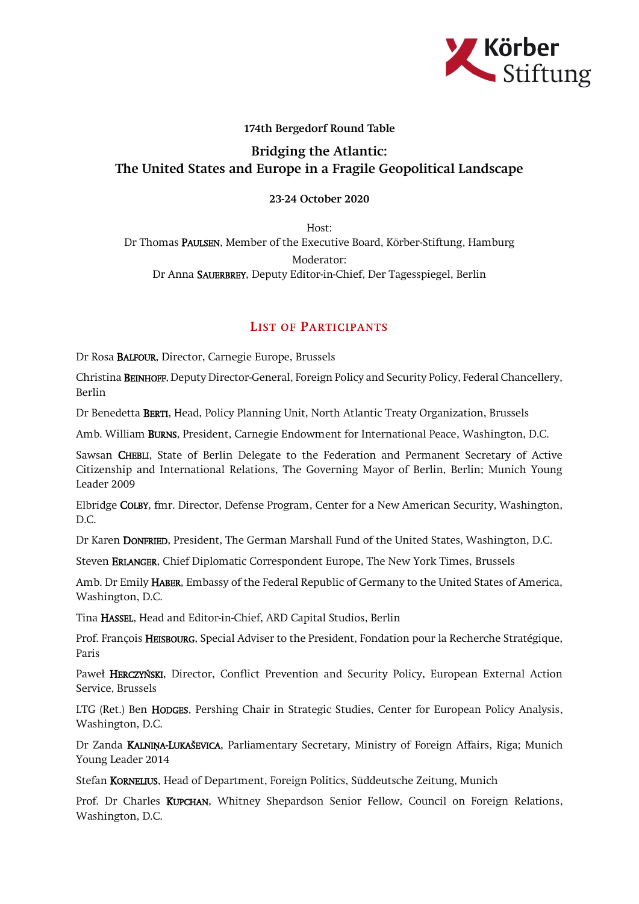

## 174th Bergedorf Round Table

## Bridging the Atlantic: The United States and Europe in a Fragile Geopolitical Landscape

## 23-24 October 2020

Host: Dr Thomas PAULSEN, Member of the Executive Board, Körber-Stiftung, Hamburg Moderator: Dr Anna SAUERBREY, Deputy Editor-in-Chief, Der Tagesspiegel, Berlin

## LIST OF PARTICIPANTS

Dr Rosa BALFOUR, Director, Carnegie Europe, Brussels

Christina BEINHOFF, Deputy Director-General, Foreign Policy and Security Policy, Federal Chancellery, Berlin

Dr Benedetta BERTI, Head, Policy Planning Unit, North Atlantic Treaty Organization, Brussels

Amb. William BURNS, President, Carnegie Endowment for International Peace, Washington, D.C.

Sawsan CHEBLI, State of Berlin Delegate to the Federation and Permanent Secretary of Active Citizenship and International Relations, The Governing Mayor of Berlin, Berlin; Munich Young Leader 2009

Elbridge COLBY, fmr. Director, Defense Program, Center for a New American Security, Washington, D.C.

Dr Karen DONFRIED, President, The German Marshall Fund of the United States, Washington, D.C.

Steven ERLANGER, Chief Diplomatic Correspondent Europe, The New York Times, Brussels

Amb. Dr Emily HABER, Embassy of the Federal Republic of Germany to the United States of America, Washington, D.C.

Tina HASSEL, Head and Editor-in-Chief, ARD Capital Studios, Berlin

Prof. François HEISBOURG, Special Adviser to the President, Fondation pour la Recherche Stratégique, Paris

Paweł HERCZYŃSKI, Director, Conflict Prevention and Security Policy, European External Action Service, Brussels

LTG (Ret.) Ben HODGES, Pershing Chair in Strategic Studies, Center for European Policy Analysis, Washington, D.C.

Dr Zanda KALNIŅA-LUKAŠEVICA, Parliamentary Secretary, Ministry of Foreign Affairs, Riga; Munich Young Leader 2014

Stefan KORNELIUS, Head of Department, Foreign Politics, Süddeutsche Zeitung, Munich

Prof. Dr Charles KUPCHAN, Whitney Shepardson Senior Fellow, Council on Foreign Relations, Washington, D.C.